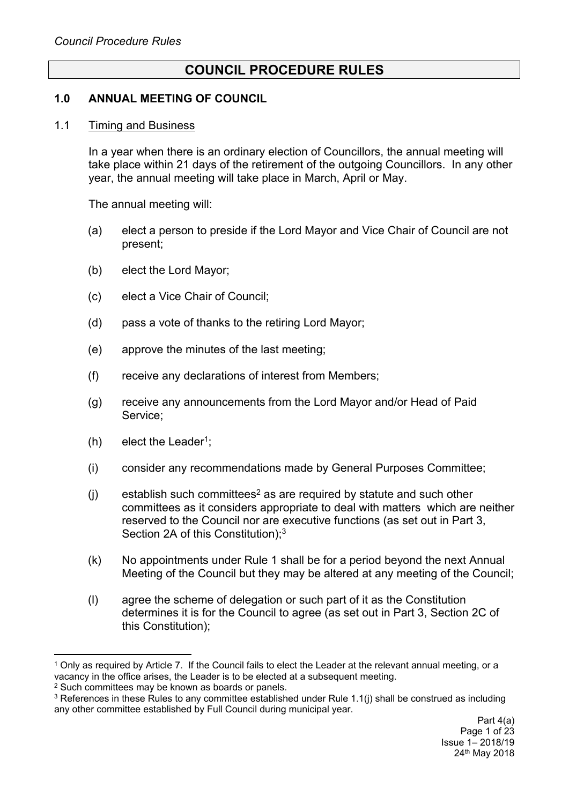# **COUNCIL PROCEDURE RULES**

### **1.0 ANNUAL MEETING OF COUNCIL**

#### 1.1 Timing and Business

In a year when there is an ordinary election of Councillors, the annual meeting will take place within 21 days of the retirement of the outgoing Councillors. In any other year, the annual meeting will take place in March, April or May.

The annual meeting will:

- (a) elect a person to preside if the Lord Mayor and Vice Chair of Council are not present;
- (b) elect the Lord Mayor;
- (c) elect a Vice Chair of Council;
- (d) pass a vote of thanks to the retiring Lord Mayor;
- (e) approve the minutes of the last meeting;
- (f) receive any declarations of interest from Members;
- (g) receive any announcements from the Lord Mayor and/or Head of Paid Service;
- $(h)$  elect the Leader<sup>1</sup>;
- (i) consider any recommendations made by General Purposes Committee;
- $(i)$  establish such committees<sup>2</sup> as are required by statute and such other committees as it considers appropriate to deal with matters which are neither reserved to the Council nor are executive functions (as set out in Part 3, Section 2A of this Constitution);<sup>3</sup>
- (k) No appointments under Rule 1 shall be for a period beyond the next Annual Meeting of the Council but they may be altered at any meeting of the Council;
- (l) agree the scheme of delegation or such part of it as the Constitution determines it is for the Council to agree (as set out in Part 3, Section 2C of this Constitution);

<sup>1</sup> Only as required by Article 7. If the Council fails to elect the Leader at the relevant annual meeting, or a vacancy in the office arises, the Leader is to be elected at a subsequent meeting.

<sup>2</sup> Such committees may be known as boards or panels.

<sup>&</sup>lt;sup>3</sup> References in these Rules to any committee established under Rule 1.1(i) shall be construed as including any other committee established by Full Council during municipal year.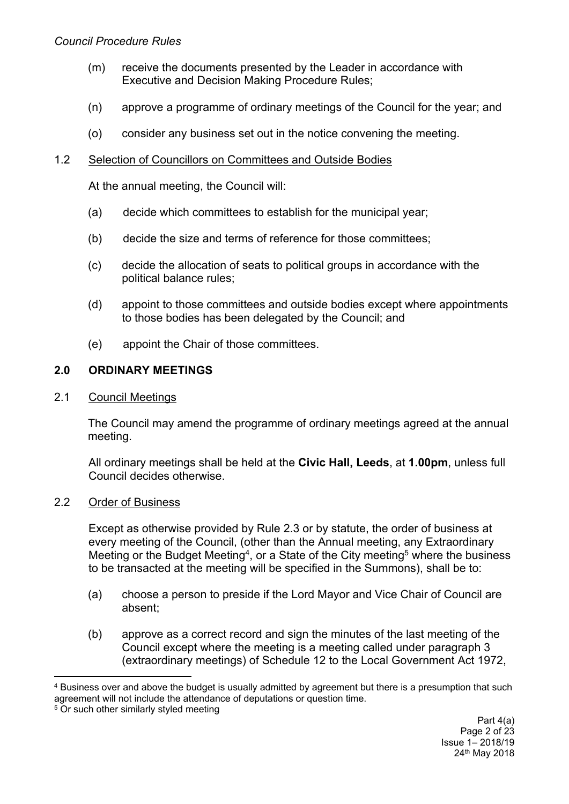### *Council Procedure Rules*

- (m) receive the documents presented by the Leader in accordance with Executive and Decision Making Procedure Rules;
- (n) approve a programme of ordinary meetings of the Council for the year; and
- (o) consider any business set out in the notice convening the meeting.

### 1.2 Selection of Councillors on Committees and Outside Bodies

At the annual meeting, the Council will:

- (a) decide which committees to establish for the municipal year;
- (b) decide the size and terms of reference for those committees;
- (c) decide the allocation of seats to political groups in accordance with the political balance rules;
- (d) appoint to those committees and outside bodies except where appointments to those bodies has been delegated by the Council; and
- (e) appoint the Chair of those committees.

### **2.0 ORDINARY MEETINGS**

### 2.1 Council Meetings

The Council may amend the programme of ordinary meetings agreed at the annual meeting.

All ordinary meetings shall be held at the **Civic Hall, Leeds**, at **1.00pm**, unless full Council decides otherwise.

### 2.2 Order of Business

Except as otherwise provided by Rule 2.3 or by statute, the order of business at every meeting of the Council, (other than the Annual meeting, any Extraordinary Meeting or the Budget Meeting<sup>4</sup>, or a State of the City meeting<sup>5</sup> where the business to be transacted at the meeting will be specified in the Summons), shall be to:

- (a) choose a person to preside if the Lord Mayor and Vice Chair of Council are absent;
- (b) approve as a correct record and sign the minutes of the last meeting of the Council except where the meeting is a meeting called under paragraph 3 (extraordinary meetings) of Schedule 12 to the Local Government Act 1972,

<sup>4</sup> Business over and above the budget is usually admitted by agreement but there is a presumption that such agreement will not include the attendance of deputations or question time.

<sup>&</sup>lt;sup>5</sup> Or such other similarly styled meeting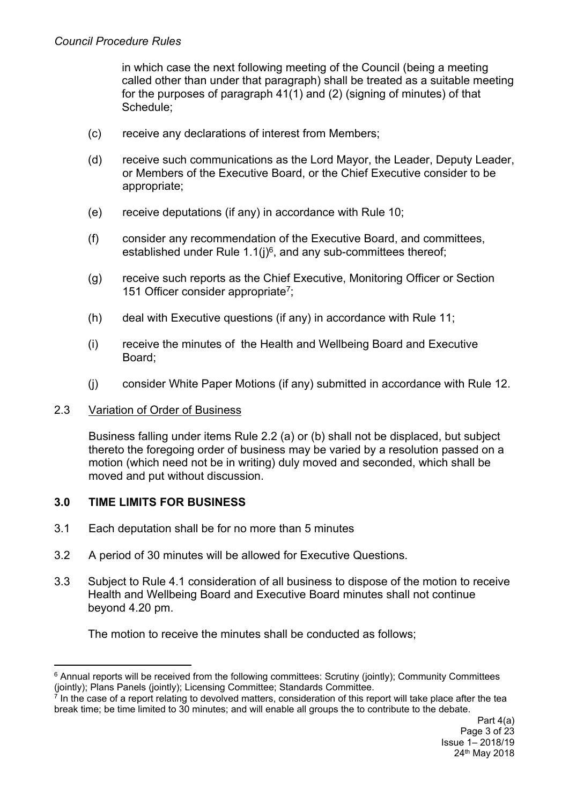in which case the next following meeting of the Council (being a meeting called other than under that paragraph) shall be treated as a suitable meeting for the purposes of paragraph 41(1) and (2) (signing of minutes) of that Schedule;

- (c) receive any declarations of interest from Members;
- (d) receive such communications as the Lord Mayor, the Leader, Deputy Leader, or Members of the Executive Board, or the Chief Executive consider to be appropriate;
- (e) receive deputations (if any) in accordance with Rule 10;
- (f) consider any recommendation of the Executive Board, and committees, established under Rule  $1.1(j)^6$ , and any sub-committees thereof;
- (g) receive such reports as the Chief Executive, Monitoring Officer or Section 151 Officer consider appropriate<sup>7</sup>;
- (h) deal with Executive questions (if any) in accordance with Rule 11;
- (i) receive the minutes of the Health and Wellbeing Board and Executive Board;
- (j) consider White Paper Motions (if any) submitted in accordance with Rule 12.

### 2.3 Variation of Order of Business

Business falling under items Rule 2.2 (a) or (b) shall not be displaced, but subject thereto the foregoing order of business may be varied by a resolution passed on a motion (which need not be in writing) duly moved and seconded, which shall be moved and put without discussion.

# **3.0 TIME LIMITS FOR BUSINESS**

- 3.1 Each deputation shall be for no more than 5 minutes
- 3.2 A period of 30 minutes will be allowed for Executive Questions.
- 3.3 Subject to Rule 4.1 consideration of all business to dispose of the motion to receive Health and Wellbeing Board and Executive Board minutes shall not continue beyond 4.20 pm.

The motion to receive the minutes shall be conducted as follows;

<sup>6</sup> Annual reports will be received from the following committees: Scrutiny (jointly); Community Committees (jointly); Plans Panels (jointly); Licensing Committee; Standards Committee.

<sup>7</sup> In the case of a report relating to devolved matters, consideration of this report will take place after the tea break time; be time limited to 30 minutes; and will enable all groups the to contribute to the debate.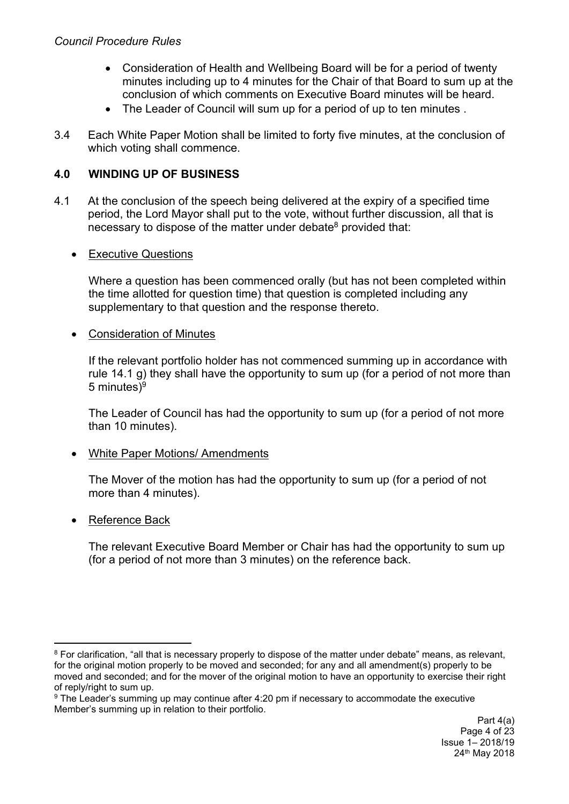- Consideration of Health and Wellbeing Board will be for a period of twenty minutes including up to 4 minutes for the Chair of that Board to sum up at the conclusion of which comments on Executive Board minutes will be heard.
- The Leader of Council will sum up for a period of up to ten minutes.
- 3.4 Each White Paper Motion shall be limited to forty five minutes, at the conclusion of which voting shall commence.

# **4.0 WINDING UP OF BUSINESS**

4.1 At the conclusion of the speech being delivered at the expiry of a specified time period, the Lord Mayor shall put to the vote, without further discussion, all that is necessary to dispose of the matter under debate<sup>8</sup> provided that:

### • Executive Questions

Where a question has been commenced orally (but has not been completed within the time allotted for question time) that question is completed including any supplementary to that question and the response thereto.

### Consideration of Minutes

If the relevant portfolio holder has not commenced summing up in accordance with rule 14.1 g) they shall have the opportunity to sum up (for a period of not more than 5 minutes)<sup>9</sup>

The Leader of Council has had the opportunity to sum up (for a period of not more than 10 minutes).

### • White Paper Motions/ Amendments

The Mover of the motion has had the opportunity to sum up (for a period of not more than 4 minutes).

### • Reference Back

The relevant Executive Board Member or Chair has had the opportunity to sum up (for a period of not more than 3 minutes) on the reference back.

<sup>&</sup>lt;sup>8</sup> For clarification, "all that is necessary properly to dispose of the matter under debate" means, as relevant, for the original motion properly to be moved and seconded; for any and all amendment(s) properly to be moved and seconded; and for the mover of the original motion to have an opportunity to exercise their right of reply/right to sum up.

<sup>9</sup> The Leader's summing up may continue after 4:20 pm if necessary to accommodate the executive Member's summing up in relation to their portfolio.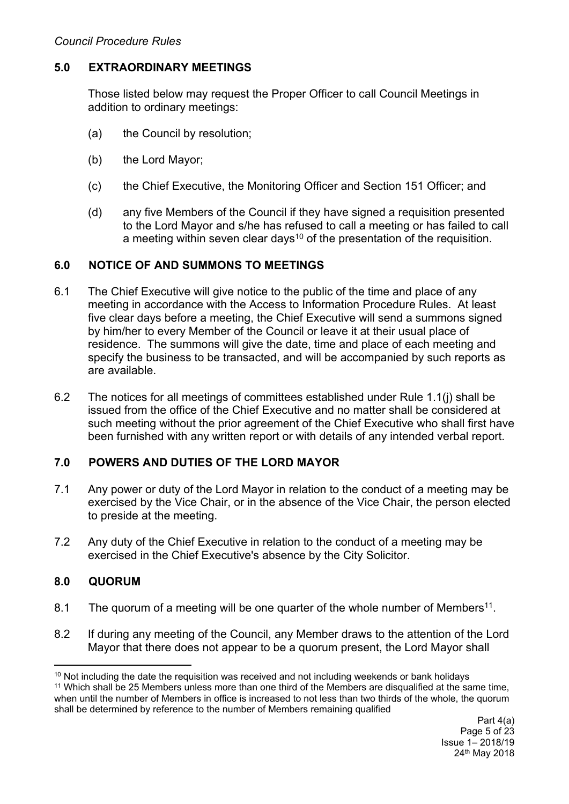### **5.0 EXTRAORDINARY MEETINGS**

Those listed below may request the Proper Officer to call Council Meetings in addition to ordinary meetings:

- (a) the Council by resolution;
- (b) the Lord Mayor;
- (c) the Chief Executive, the Monitoring Officer and Section 151 Officer; and
- (d) any five Members of the Council if they have signed a requisition presented to the Lord Mayor and s/he has refused to call a meeting or has failed to call a meeting within seven clear days<sup>10</sup> of the presentation of the requisition.

### **6.0 NOTICE OF AND SUMMONS TO MEETINGS**

- 6.1 The Chief Executive will give notice to the public of the time and place of any meeting in accordance with the Access to Information Procedure Rules. At least five clear days before a meeting, the Chief Executive will send a summons signed by him/her to every Member of the Council or leave it at their usual place of residence. The summons will give the date, time and place of each meeting and specify the business to be transacted, and will be accompanied by such reports as are available.
- 6.2 The notices for all meetings of committees established under Rule 1.1(j) shall be issued from the office of the Chief Executive and no matter shall be considered at such meeting without the prior agreement of the Chief Executive who shall first have been furnished with any written report or with details of any intended verbal report.

# **7.0 POWERS AND DUTIES OF THE LORD MAYOR**

- 7.1 Any power or duty of the Lord Mayor in relation to the conduct of a meeting may be exercised by the Vice Chair, or in the absence of the Vice Chair, the person elected to preside at the meeting.
- 7.2 Any duty of the Chief Executive in relation to the conduct of a meeting may be exercised in the Chief Executive's absence by the City Solicitor.

# **8.0 QUORUM**

- 8.1 The quorum of a meeting will be one quarter of the whole number of Members<sup>11</sup>.
- 8.2 If during any meeting of the Council, any Member draws to the attention of the Lord Mayor that there does not appear to be a quorum present, the Lord Mayor shall

<sup>&</sup>lt;sup>10</sup> Not including the date the requisition was received and not including weekends or bank holidays

<sup>11</sup> Which shall be 25 Members unless more than one third of the Members are disqualified at the same time, when until the number of Members in office is increased to not less than two thirds of the whole, the quorum shall be determined by reference to the number of Members remaining qualified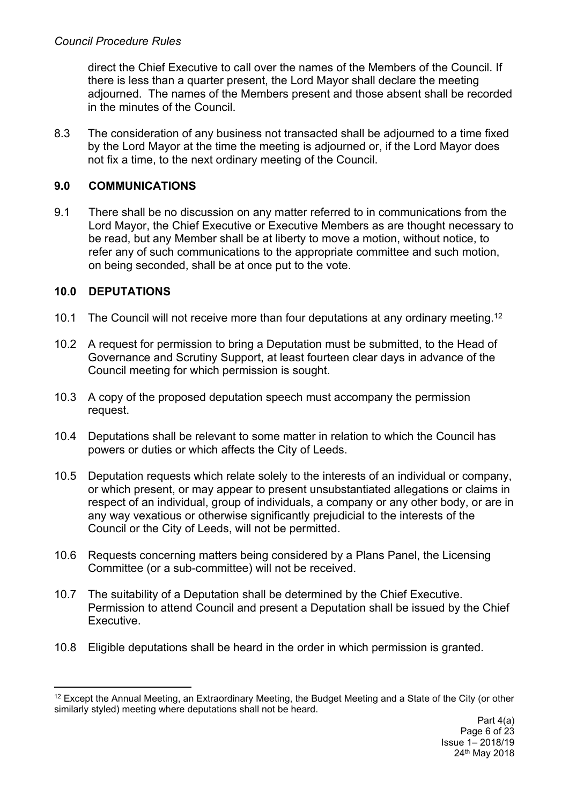direct the Chief Executive to call over the names of the Members of the Council. If there is less than a quarter present, the Lord Mayor shall declare the meeting adjourned. The names of the Members present and those absent shall be recorded in the minutes of the Council.

8.3 The consideration of any business not transacted shall be adjourned to a time fixed by the Lord Mayor at the time the meeting is adjourned or, if the Lord Mayor does not fix a time, to the next ordinary meeting of the Council.

# **9.0 COMMUNICATIONS**

9.1 There shall be no discussion on any matter referred to in communications from the Lord Mayor, the Chief Executive or Executive Members as are thought necessary to be read, but any Member shall be at liberty to move a motion, without notice, to refer any of such communications to the appropriate committee and such motion, on being seconded, shall be at once put to the vote.

# **10.0 DEPUTATIONS**

- 10.1 The Council will not receive more than four deputations at any ordinary meeting.<sup>12</sup>
- 10.2 A request for permission to bring a Deputation must be submitted, to the Head of Governance and Scrutiny Support, at least fourteen clear days in advance of the Council meeting for which permission is sought.
- 10.3 A copy of the proposed deputation speech must accompany the permission request.
- 10.4 Deputations shall be relevant to some matter in relation to which the Council has powers or duties or which affects the City of Leeds.
- 10.5 Deputation requests which relate solely to the interests of an individual or company, or which present, or may appear to present unsubstantiated allegations or claims in respect of an individual, group of individuals, a company or any other body, or are in any way vexatious or otherwise significantly prejudicial to the interests of the Council or the City of Leeds, will not be permitted.
- 10.6 Requests concerning matters being considered by a Plans Panel, the Licensing Committee (or a sub-committee) will not be received.
- 10.7 The suitability of a Deputation shall be determined by the Chief Executive. Permission to attend Council and present a Deputation shall be issued by the Chief Executive.
- 10.8 Eligible deputations shall be heard in the order in which permission is granted.

<sup>12</sup> Except the Annual Meeting, an Extraordinary Meeting, the Budget Meeting and a State of the City (or other similarly styled) meeting where deputations shall not be heard.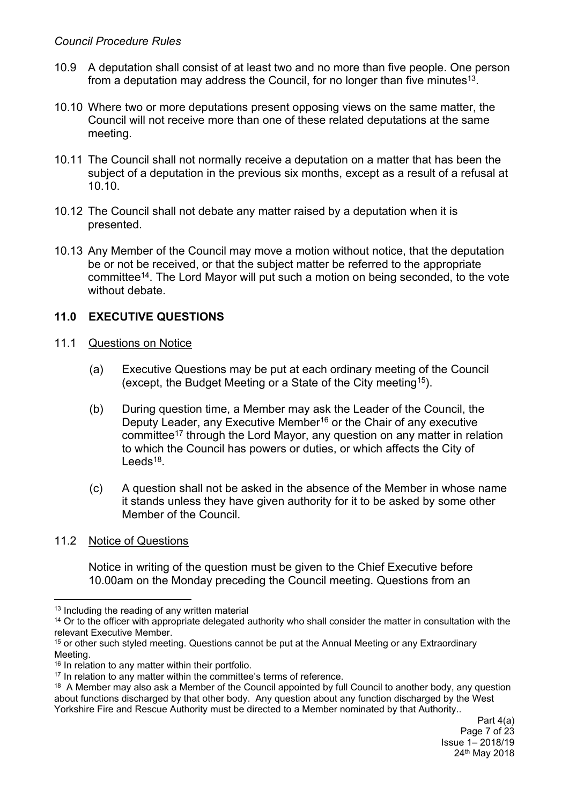- 10.9 A deputation shall consist of at least two and no more than five people. One person from a deputation may address the Council, for no longer than five minutes<sup>13</sup>.
- 10.10 Where two or more deputations present opposing views on the same matter, the Council will not receive more than one of these related deputations at the same meeting.
- 10.11 The Council shall not normally receive a deputation on a matter that has been the subject of a deputation in the previous six months, except as a result of a refusal at 10.10.
- 10.12 The Council shall not debate any matter raised by a deputation when it is presented.
- 10.13 Any Member of the Council may move a motion without notice, that the deputation be or not be received, or that the subject matter be referred to the appropriate committee<sup>14</sup>. The Lord Mayor will put such a motion on being seconded, to the vote without debate

# **11.0 EXECUTIVE QUESTIONS**

- 11.1 Questions on Notice
	- (a) Executive Questions may be put at each ordinary meeting of the Council (except, the Budget Meeting or a State of the City meeting<sup>15</sup>).
	- (b) During question time, a Member may ask the Leader of the Council, the Deputy Leader, any Executive Member<sup>16</sup> or the Chair of any executive committee<sup>17</sup> through the Lord Mayor, any question on any matter in relation to which the Council has powers or duties, or which affects the City of Leeds<sup>18</sup>.
	- (c) A question shall not be asked in the absence of the Member in whose name it stands unless they have given authority for it to be asked by some other Member of the Council.
- 11.2 Notice of Questions

Notice in writing of the question must be given to the Chief Executive before 10.00am on the Monday preceding the Council meeting. Questions from an

<sup>&</sup>lt;sup>13</sup> Including the reading of any written material

<sup>&</sup>lt;sup>14</sup> Or to the officer with appropriate delegated authority who shall consider the matter in consultation with the relevant Executive Member.

<sup>&</sup>lt;sup>15</sup> or other such styled meeting. Questions cannot be put at the Annual Meeting or any Extraordinary Meeting.

<sup>&</sup>lt;sup>16</sup> In relation to any matter within their portfolio.

<sup>&</sup>lt;sup>17</sup> In relation to any matter within the committee's terms of reference.

<sup>&</sup>lt;sup>18</sup> A Member may also ask a Member of the Council appointed by full Council to another body, any question about functions discharged by that other body. Any question about any function discharged by the West Yorkshire Fire and Rescue Authority must be directed to a Member nominated by that Authority..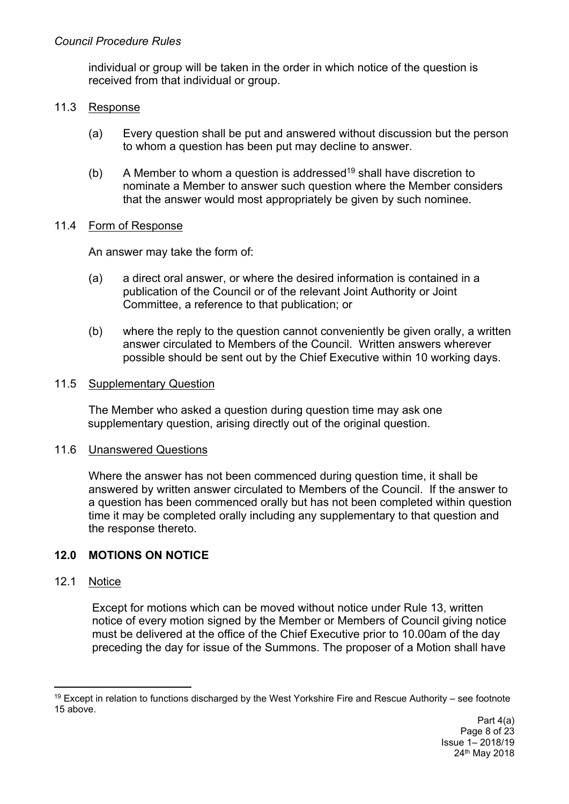individual or group will be taken in the order in which notice of the question is received from that individual or group.

### 11.3 Response

- (a) Every question shall be put and answered without discussion but the person to whom a question has been put may decline to answer.
- (b) A Member to whom a question is addressed<sup>19</sup> shall have discretion to nominate a Member to answer such question where the Member considers that the answer would most appropriately be given by such nominee.

# 11.4 Form of Response

An answer may take the form of:

- (a) a direct oral answer, or where the desired information is contained in a publication of the Council or of the relevant Joint Authority or Joint Committee, a reference to that publication; or
- (b) where the reply to the question cannot conveniently be given orally, a written answer circulated to Members of the Council. Written answers wherever possible should be sent out by the Chief Executive within 10 working days.

### 11.5 Supplementary Question

The Member who asked a question during question time may ask one supplementary question, arising directly out of the original question.

### 11.6 Unanswered Questions

Where the answer has not been commenced during question time, it shall be answered by written answer circulated to Members of the Council. If the answer to a question has been commenced orally but has not been completed within question time it may be completed orally including any supplementary to that question and the response thereto.

# **12.0 MOTIONS ON NOTICE**

### 12.1 Notice

Except for motions which can be moved without notice under Rule 13, written notice of every motion signed by the Member or Members of Council giving notice must be delivered at the office of the Chief Executive prior to 10.00am of the day preceding the day for issue of the Summons. The proposer of a Motion shall have

<sup>19</sup> Except in relation to functions discharged by the West Yorkshire Fire and Rescue Authority – see footnote 15 above.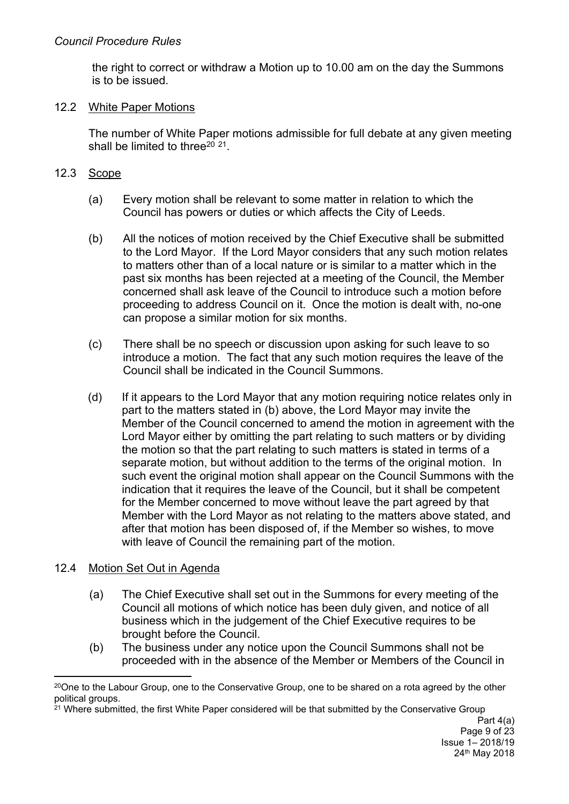the right to correct or withdraw a Motion up to 10.00 am on the day the Summons is to be issued.

### 12.2 White Paper Motions

The number of White Paper motions admissible for full debate at any given meeting shall be limited to three<sup>20 21</sup>.

### 12.3 Scope

- (a) Every motion shall be relevant to some matter in relation to which the Council has powers or duties or which affects the City of Leeds.
- (b) All the notices of motion received by the Chief Executive shall be submitted to the Lord Mayor. If the Lord Mayor considers that any such motion relates to matters other than of a local nature or is similar to a matter which in the past six months has been rejected at a meeting of the Council, the Member concerned shall ask leave of the Council to introduce such a motion before proceeding to address Council on it. Once the motion is dealt with, no-one can propose a similar motion for six months.
- (c) There shall be no speech or discussion upon asking for such leave to so introduce a motion. The fact that any such motion requires the leave of the Council shall be indicated in the Council Summons.
- (d) If it appears to the Lord Mayor that any motion requiring notice relates only in part to the matters stated in (b) above, the Lord Mayor may invite the Member of the Council concerned to amend the motion in agreement with the Lord Mayor either by omitting the part relating to such matters or by dividing the motion so that the part relating to such matters is stated in terms of a separate motion, but without addition to the terms of the original motion. In such event the original motion shall appear on the Council Summons with the indication that it requires the leave of the Council, but it shall be competent for the Member concerned to move without leave the part agreed by that Member with the Lord Mayor as not relating to the matters above stated, and after that motion has been disposed of, if the Member so wishes, to move with leave of Council the remaining part of the motion.

# 12.4 Motion Set Out in Agenda

- (a) The Chief Executive shall set out in the Summons for every meeting of the Council all motions of which notice has been duly given, and notice of all business which in the judgement of the Chief Executive requires to be brought before the Council.
- (b) The business under any notice upon the Council Summons shall not be proceeded with in the absence of the Member or Members of the Council in

 $20$ One to the Labour Group, one to the Conservative Group, one to be shared on a rota agreed by the other political groups.

<sup>&</sup>lt;sup>21</sup> Where submitted, the first White Paper considered will be that submitted by the Conservative Group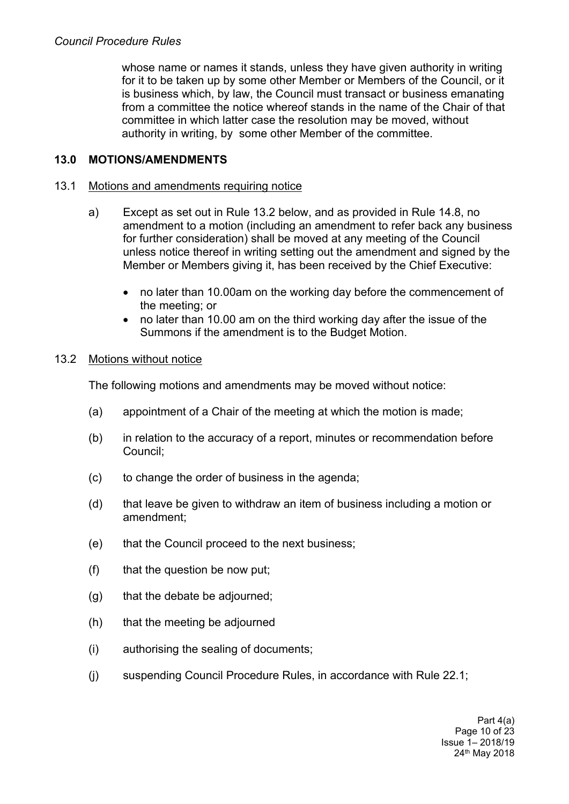whose name or names it stands, unless they have given authority in writing for it to be taken up by some other Member or Members of the Council, or it is business which, by law, the Council must transact or business emanating from a committee the notice whereof stands in the name of the Chair of that committee in which latter case the resolution may be moved, without authority in writing, by some other Member of the committee.

# **13.0 MOTIONS/AMENDMENTS**

### 13.1 Motions and amendments requiring notice

- a) Except as set out in Rule 13.2 below, and as provided in Rule 14.8, no amendment to a motion (including an amendment to refer back any business for further consideration) shall be moved at any meeting of the Council unless notice thereof in writing setting out the amendment and signed by the Member or Members giving it, has been received by the Chief Executive:
	- no later than 10.00am on the working day before the commencement of the meeting; or
	- no later than 10.00 am on the third working day after the issue of the Summons if the amendment is to the Budget Motion.

### 13.2 Motions without notice

The following motions and amendments may be moved without notice:

- (a) appointment of a Chair of the meeting at which the motion is made;
- (b) in relation to the accuracy of a report, minutes or recommendation before Council;
- (c) to change the order of business in the agenda;
- (d) that leave be given to withdraw an item of business including a motion or amendment;
- (e) that the Council proceed to the next business;
- (f) that the question be now put;
- (g) that the debate be adjourned;
- (h) that the meeting be adjourned
- (i) authorising the sealing of documents;
- (j) suspending Council Procedure Rules, in accordance with Rule 22.1;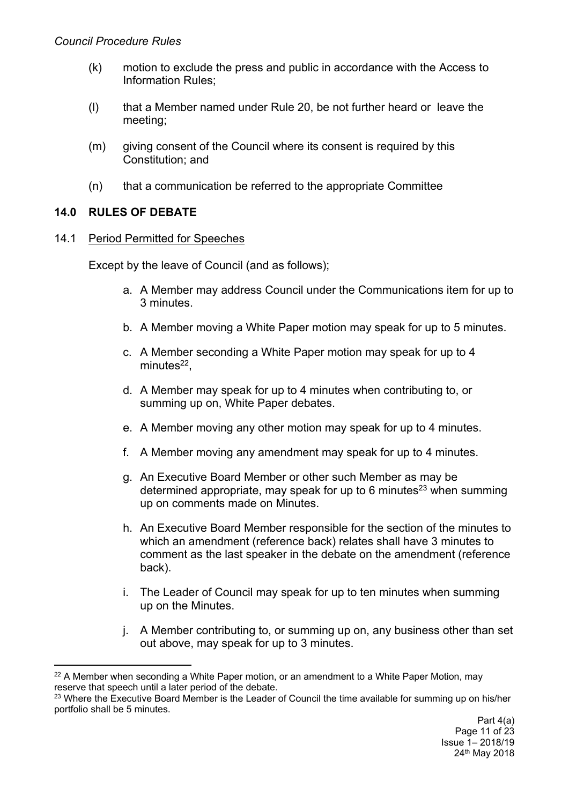- (k) motion to exclude the press and public in accordance with the Access to Information Rules;
- (l) that a Member named under Rule 20, be not further heard or leave the meeting;
- (m) giving consent of the Council where its consent is required by this Constitution; and
- (n) that a communication be referred to the appropriate Committee

# **14.0 RULES OF DEBATE**

### 14.1 Period Permitted for Speeches

Except by the leave of Council (and as follows);

- a. A Member may address Council under the Communications item for up to 3 minutes.
- b. A Member moving a White Paper motion may speak for up to 5 minutes.
- c. A Member seconding a White Paper motion may speak for up to 4 minutes<sup>22</sup>,
- d. A Member may speak for up to 4 minutes when contributing to, or summing up on, White Paper debates.
- e. A Member moving any other motion may speak for up to 4 minutes.
- f. A Member moving any amendment may speak for up to 4 minutes.
- g. An Executive Board Member or other such Member as may be determined appropriate, may speak for up to 6 minutes<sup>23</sup> when summing up on comments made on Minutes.
- h. An Executive Board Member responsible for the section of the minutes to which an amendment (reference back) relates shall have 3 minutes to comment as the last speaker in the debate on the amendment (reference back).
- i. The Leader of Council may speak for up to ten minutes when summing up on the Minutes.
- j. A Member contributing to, or summing up on, any business other than set out above, may speak for up to 3 minutes.

 $22$  A Member when seconding a White Paper motion, or an amendment to a White Paper Motion, may reserve that speech until a later period of the debate.

<sup>&</sup>lt;sup>23</sup> Where the Executive Board Member is the Leader of Council the time available for summing up on his/her portfolio shall be 5 minutes.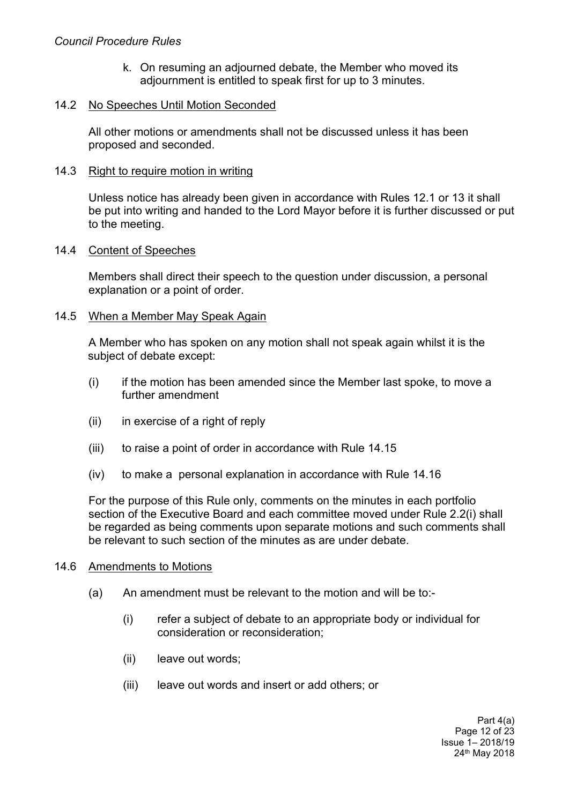#### *Council Procedure Rules*

k. On resuming an adjourned debate, the Member who moved its adjournment is entitled to speak first for up to 3 minutes.

#### 14.2 No Speeches Until Motion Seconded

All other motions or amendments shall not be discussed unless it has been proposed and seconded.

#### 14.3 Right to require motion in writing

Unless notice has already been given in accordance with Rules 12.1 or 13 it shall be put into writing and handed to the Lord Mayor before it is further discussed or put to the meeting.

#### 14.4 Content of Speeches

Members shall direct their speech to the question under discussion, a personal explanation or a point of order.

#### 14.5 When a Member May Speak Again

A Member who has spoken on any motion shall not speak again whilst it is the subject of debate except:

- (i) if the motion has been amended since the Member last spoke, to move a further amendment
- (ii) in exercise of a right of reply
- (iii) to raise a point of order in accordance with Rule 14.15
- (iv) to make a personal explanation in accordance with Rule 14.16

For the purpose of this Rule only, comments on the minutes in each portfolio section of the Executive Board and each committee moved under Rule 2.2(i) shall be regarded as being comments upon separate motions and such comments shall be relevant to such section of the minutes as are under debate.

#### 14.6 Amendments to Motions

- (a) An amendment must be relevant to the motion and will be to:-
	- (i) refer a subject of debate to an appropriate body or individual for consideration or reconsideration;
	- (ii) leave out words;
	- (iii) leave out words and insert or add others; or

Part 4(a) Page 12 of 23 Issue 1– 2018/19 24th May 2018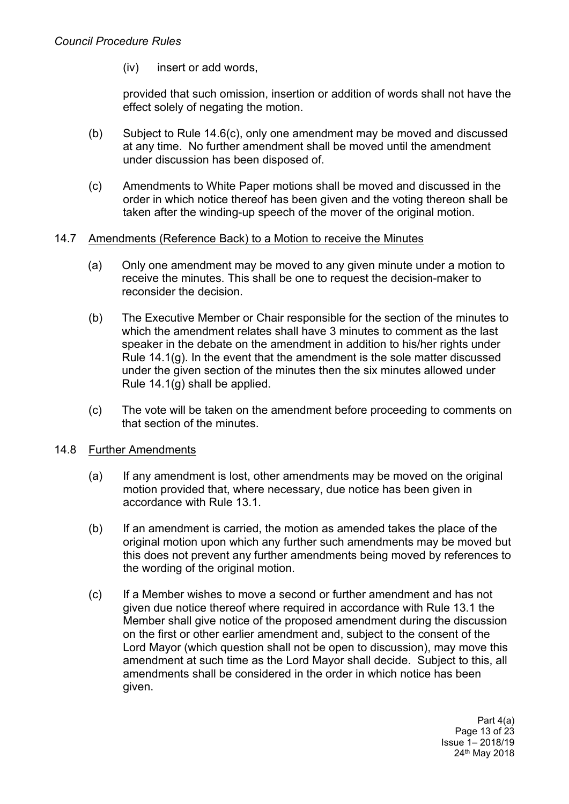(iv) insert or add words,

provided that such omission, insertion or addition of words shall not have the effect solely of negating the motion.

- (b) Subject to Rule 14.6(c), only one amendment may be moved and discussed at any time. No further amendment shall be moved until the amendment under discussion has been disposed of.
- (c) Amendments to White Paper motions shall be moved and discussed in the order in which notice thereof has been given and the voting thereon shall be taken after the winding-up speech of the mover of the original motion.

### 14.7 Amendments (Reference Back) to a Motion to receive the Minutes

- (a) Only one amendment may be moved to any given minute under a motion to receive the minutes. This shall be one to request the decision-maker to reconsider the decision.
- (b) The Executive Member or Chair responsible for the section of the minutes to which the amendment relates shall have 3 minutes to comment as the last speaker in the debate on the amendment in addition to his/her rights under Rule 14.1(g). In the event that the amendment is the sole matter discussed under the given section of the minutes then the six minutes allowed under Rule 14.1(g) shall be applied.
- (c) The vote will be taken on the amendment before proceeding to comments on that section of the minutes.

### 14.8 Further Amendments

- (a) If any amendment is lost, other amendments may be moved on the original motion provided that, where necessary, due notice has been given in accordance with Rule 13.1.
- (b) If an amendment is carried, the motion as amended takes the place of the original motion upon which any further such amendments may be moved but this does not prevent any further amendments being moved by references to the wording of the original motion.
- (c) If a Member wishes to move a second or further amendment and has not given due notice thereof where required in accordance with Rule 13.1 the Member shall give notice of the proposed amendment during the discussion on the first or other earlier amendment and, subject to the consent of the Lord Mayor (which question shall not be open to discussion), may move this amendment at such time as the Lord Mayor shall decide. Subject to this, all amendments shall be considered in the order in which notice has been given.

Part 4(a) Page 13 of 23 Issue 1– 2018/19 24th May 2018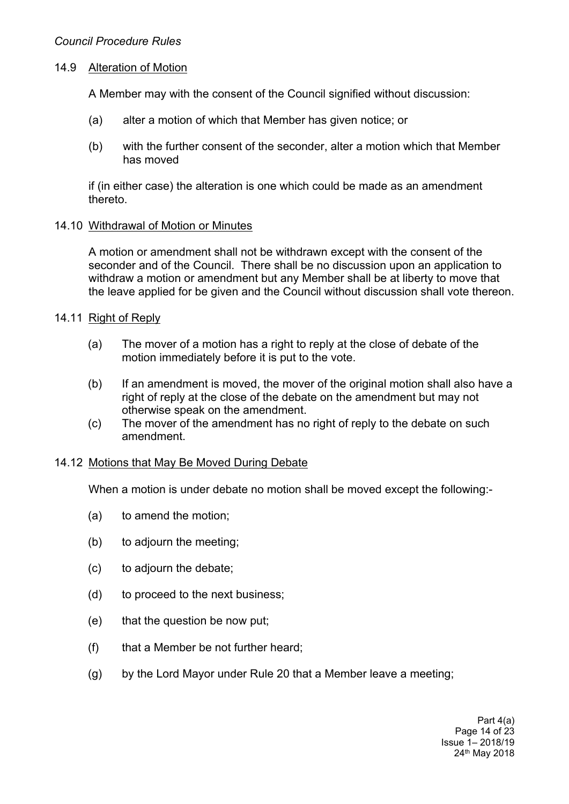### 14.9 Alteration of Motion

A Member may with the consent of the Council signified without discussion:

- (a) alter a motion of which that Member has given notice; or
- (b) with the further consent of the seconder, alter a motion which that Member has moved

if (in either case) the alteration is one which could be made as an amendment thereto.

#### 14.10 Withdrawal of Motion or Minutes

A motion or amendment shall not be withdrawn except with the consent of the seconder and of the Council. There shall be no discussion upon an application to withdraw a motion or amendment but any Member shall be at liberty to move that the leave applied for be given and the Council without discussion shall vote thereon.

### 14.11 Right of Reply

- (a) The mover of a motion has a right to reply at the close of debate of the motion immediately before it is put to the vote.
- (b) If an amendment is moved, the mover of the original motion shall also have a right of reply at the close of the debate on the amendment but may not otherwise speak on the amendment.
- (c) The mover of the amendment has no right of reply to the debate on such amendment.

### 14.12 Motions that May Be Moved During Debate

When a motion is under debate no motion shall be moved except the following:-

- (a) to amend the motion;
- (b) to adjourn the meeting;
- (c) to adjourn the debate;
- (d) to proceed to the next business;
- (e) that the question be now put;
- (f) that a Member be not further heard;
- (g) by the Lord Mayor under Rule 20 that a Member leave a meeting;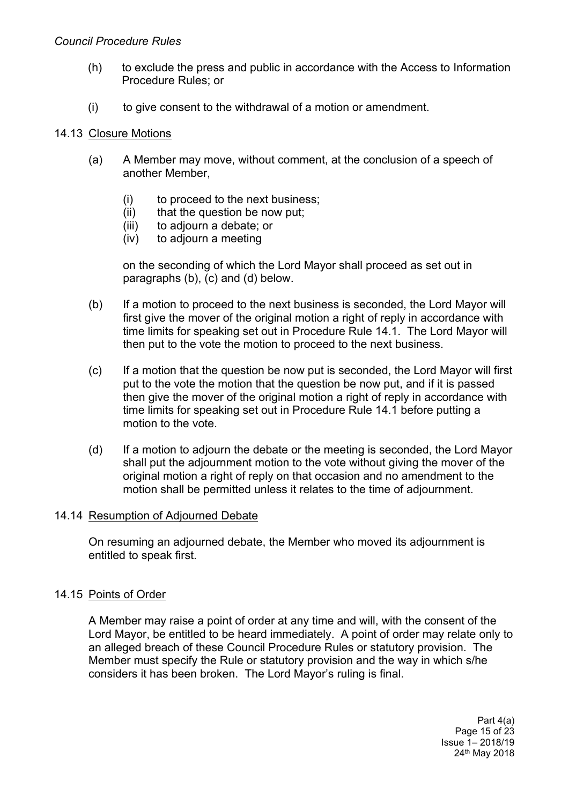#### *Council Procedure Rules*

- (h) to exclude the press and public in accordance with the Access to Information Procedure Rules; or
- (i) to give consent to the withdrawal of a motion or amendment.

#### 14.13 Closure Motions

- (a) A Member may move, without comment, at the conclusion of a speech of another Member,
	- (i) to proceed to the next business;
	- (ii) that the question be now put;
	- (iii) to adjourn a debate; or
	- (iv) to adjourn a meeting

on the seconding of which the Lord Mayor shall proceed as set out in paragraphs (b), (c) and (d) below.

- (b) If a motion to proceed to the next business is seconded, the Lord Mayor will first give the mover of the original motion a right of reply in accordance with time limits for speaking set out in Procedure Rule 14.1. The Lord Mayor will then put to the vote the motion to proceed to the next business.
- (c) If a motion that the question be now put is seconded, the Lord Mayor will first put to the vote the motion that the question be now put, and if it is passed then give the mover of the original motion a right of reply in accordance with time limits for speaking set out in Procedure Rule 14.1 before putting a motion to the vote.
- (d) If a motion to adjourn the debate or the meeting is seconded, the Lord Mayor shall put the adjournment motion to the vote without giving the mover of the original motion a right of reply on that occasion and no amendment to the motion shall be permitted unless it relates to the time of adjournment.

#### 14.14 Resumption of Adjourned Debate

On resuming an adjourned debate, the Member who moved its adjournment is entitled to speak first.

### 14.15 Points of Order

A Member may raise a point of order at any time and will, with the consent of the Lord Mayor, be entitled to be heard immediately. A point of order may relate only to an alleged breach of these Council Procedure Rules or statutory provision. The Member must specify the Rule or statutory provision and the way in which s/he considers it has been broken. The Lord Mayor's ruling is final.

> Part 4(a) Page 15 of 23 Issue 1– 2018/19 24th May 2018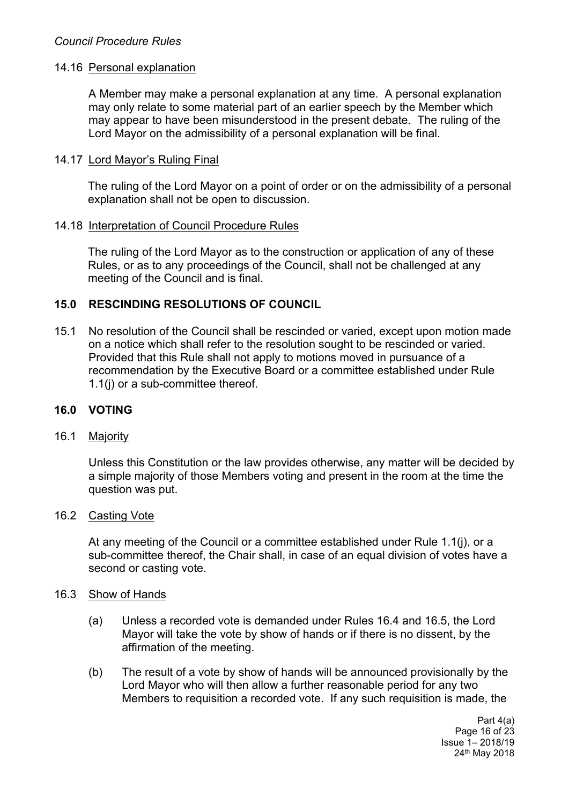### 14.16 Personal explanation

A Member may make a personal explanation at any time. A personal explanation may only relate to some material part of an earlier speech by the Member which may appear to have been misunderstood in the present debate. The ruling of the Lord Mayor on the admissibility of a personal explanation will be final.

#### 14.17 Lord Mayor's Ruling Final

The ruling of the Lord Mayor on a point of order or on the admissibility of a personal explanation shall not be open to discussion.

#### 14.18 Interpretation of Council Procedure Rules

The ruling of the Lord Mayor as to the construction or application of any of these Rules, or as to any proceedings of the Council, shall not be challenged at any meeting of the Council and is final.

### **15.0 RESCINDING RESOLUTIONS OF COUNCIL**

15.1 No resolution of the Council shall be rescinded or varied, except upon motion made on a notice which shall refer to the resolution sought to be rescinded or varied. Provided that this Rule shall not apply to motions moved in pursuance of a recommendation by the Executive Board or a committee established under Rule 1.1(j) or a sub-committee thereof.

### **16.0 VOTING**

#### 16.1 Majority

Unless this Constitution or the law provides otherwise, any matter will be decided by a simple majority of those Members voting and present in the room at the time the question was put.

#### 16.2 Casting Vote

At any meeting of the Council or a committee established under Rule 1.1(j), or a sub-committee thereof, the Chair shall, in case of an equal division of votes have a second or casting vote.

#### 16.3 Show of Hands

- (a) Unless a recorded vote is demanded under Rules 16.4 and 16.5, the Lord Mayor will take the vote by show of hands or if there is no dissent, by the affirmation of the meeting.
- (b) The result of a vote by show of hands will be announced provisionally by the Lord Mayor who will then allow a further reasonable period for any two Members to requisition a recorded vote. If any such requisition is made, the

Part 4(a) Page 16 of 23 Issue 1– 2018/19 24th May 2018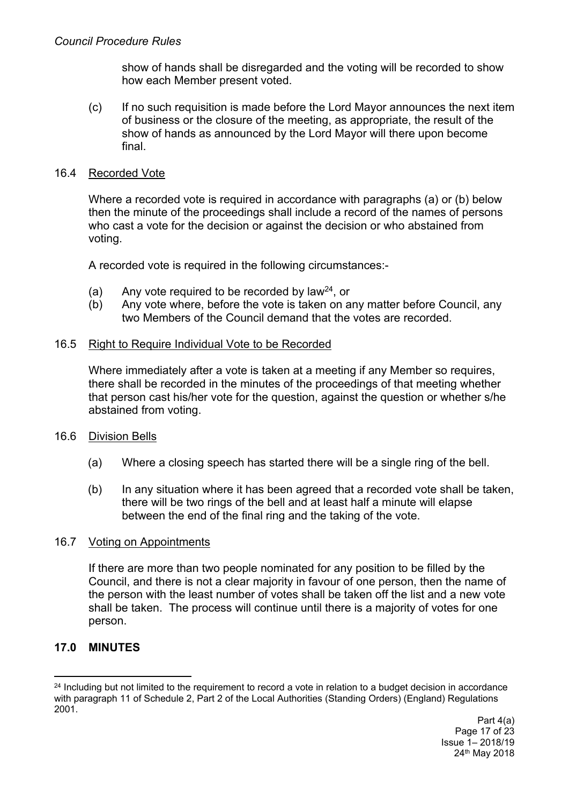show of hands shall be disregarded and the voting will be recorded to show how each Member present voted.

(c) If no such requisition is made before the Lord Mayor announces the next item of business or the closure of the meeting, as appropriate, the result of the show of hands as announced by the Lord Mayor will there upon become final.

#### 16.4 Recorded Vote

Where a recorded vote is required in accordance with paragraphs (a) or (b) below then the minute of the proceedings shall include a record of the names of persons who cast a vote for the decision or against the decision or who abstained from voting.

A recorded vote is required in the following circumstances:-

- (a) Any vote required to be recorded by law<sup>24</sup>, or
- (b) Any vote where, before the vote is taken on any matter before Council, any two Members of the Council demand that the votes are recorded.

#### 16.5 Right to Require Individual Vote to be Recorded

Where immediately after a vote is taken at a meeting if any Member so requires, there shall be recorded in the minutes of the proceedings of that meeting whether that person cast his/her vote for the question, against the question or whether s/he abstained from voting.

### 16.6 Division Bells

- (a) Where a closing speech has started there will be a single ring of the bell.
- (b) In any situation where it has been agreed that a recorded vote shall be taken, there will be two rings of the bell and at least half a minute will elapse between the end of the final ring and the taking of the vote.

#### 16.7 Voting on Appointments

If there are more than two people nominated for any position to be filled by the Council, and there is not a clear majority in favour of one person, then the name of the person with the least number of votes shall be taken off the list and a new vote shall be taken. The process will continue until there is a majority of votes for one person.

### **17.0 MINUTES**

<sup>&</sup>lt;sup>24</sup> Including but not limited to the requirement to record a vote in relation to a budget decision in accordance with paragraph 11 of Schedule 2, Part 2 of the Local Authorities (Standing Orders) (England) Regulations 2001.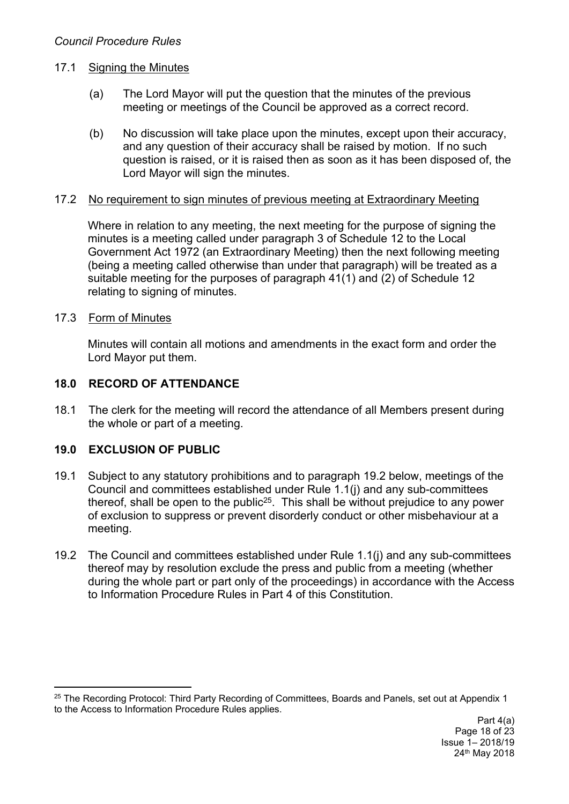# 17.1 Signing the Minutes

- (a) The Lord Mayor will put the question that the minutes of the previous meeting or meetings of the Council be approved as a correct record.
- (b) No discussion will take place upon the minutes, except upon their accuracy, and any question of their accuracy shall be raised by motion. If no such question is raised, or it is raised then as soon as it has been disposed of, the Lord Mayor will sign the minutes.

# 17.2 No requirement to sign minutes of previous meeting at Extraordinary Meeting

Where in relation to any meeting, the next meeting for the purpose of signing the minutes is a meeting called under paragraph 3 of Schedule 12 to the Local Government Act 1972 (an Extraordinary Meeting) then the next following meeting (being a meeting called otherwise than under that paragraph) will be treated as a suitable meeting for the purposes of paragraph 41(1) and (2) of Schedule 12 relating to signing of minutes.

# 17.3 Form of Minutes

Minutes will contain all motions and amendments in the exact form and order the Lord Mayor put them.

# **18.0 RECORD OF ATTENDANCE**

18.1 The clerk for the meeting will record the attendance of all Members present during the whole or part of a meeting.

# **19.0 EXCLUSION OF PUBLIC**

- 19.1 Subject to any statutory prohibitions and to paragraph 19.2 below, meetings of the Council and committees established under Rule 1.1(j) and any sub-committees thereof, shall be open to the public<sup>25</sup>. This shall be without prejudice to any power of exclusion to suppress or prevent disorderly conduct or other misbehaviour at a meeting.
- 19.2 The Council and committees established under Rule 1.1(j) and any sub-committees thereof may by resolution exclude the press and public from a meeting (whether during the whole part or part only of the proceedings) in accordance with the Access to Information Procedure Rules in Part 4 of this Constitution.

<sup>&</sup>lt;sup>25</sup> The Recording Protocol: Third Party Recording of Committees, Boards and Panels, set out at Appendix 1 to the Access to Information Procedure Rules applies.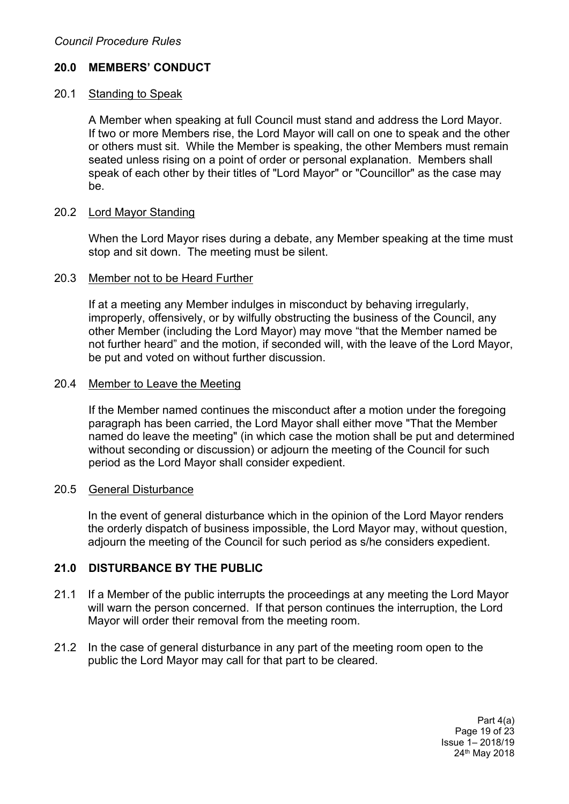# **20.0 MEMBERS' CONDUCT**

### 20.1 Standing to Speak

A Member when speaking at full Council must stand and address the Lord Mayor. If two or more Members rise, the Lord Mayor will call on one to speak and the other or others must sit. While the Member is speaking, the other Members must remain seated unless rising on a point of order or personal explanation. Members shall speak of each other by their titles of "Lord Mayor" or "Councillor" as the case may be.

### 20.2 Lord Mayor Standing

When the Lord Mayor rises during a debate, any Member speaking at the time must stop and sit down. The meeting must be silent.

#### 20.3 Member not to be Heard Further

If at a meeting any Member indulges in misconduct by behaving irregularly, improperly, offensively, or by wilfully obstructing the business of the Council, any other Member (including the Lord Mayor) may move "that the Member named be not further heard" and the motion, if seconded will, with the leave of the Lord Mayor, be put and voted on without further discussion.

#### 20.4 Member to Leave the Meeting

If the Member named continues the misconduct after a motion under the foregoing paragraph has been carried, the Lord Mayor shall either move "That the Member named do leave the meeting" (in which case the motion shall be put and determined without seconding or discussion) or adjourn the meeting of the Council for such period as the Lord Mayor shall consider expedient.

#### 20.5 General Disturbance

In the event of general disturbance which in the opinion of the Lord Mayor renders the orderly dispatch of business impossible, the Lord Mayor may, without question, adjourn the meeting of the Council for such period as s/he considers expedient.

### **21.0 DISTURBANCE BY THE PUBLIC**

- 21.1 If a Member of the public interrupts the proceedings at any meeting the Lord Mayor will warn the person concerned. If that person continues the interruption, the Lord Mayor will order their removal from the meeting room.
- 21.2 In the case of general disturbance in any part of the meeting room open to the public the Lord Mayor may call for that part to be cleared.

Part 4(a) Page 19 of 23 Issue 1– 2018/19 24th May 2018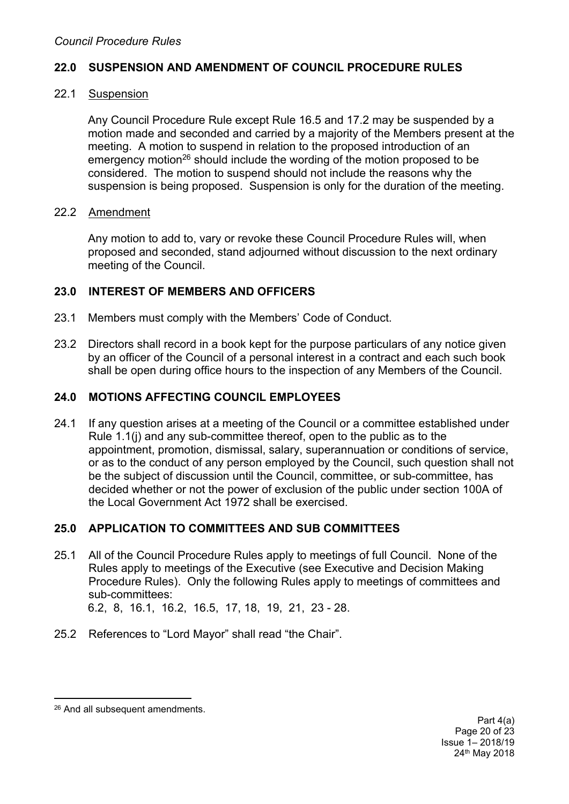### **22.0 SUSPENSION AND AMENDMENT OF COUNCIL PROCEDURE RULES**

### 22.1 Suspension

Any Council Procedure Rule except Rule 16.5 and 17.2 may be suspended by a motion made and seconded and carried by a majority of the Members present at the meeting. A motion to suspend in relation to the proposed introduction of an emergency motion<sup>26</sup> should include the wording of the motion proposed to be considered. The motion to suspend should not include the reasons why the suspension is being proposed. Suspension is only for the duration of the meeting.

### 22.2 Amendment

Any motion to add to, vary or revoke these Council Procedure Rules will, when proposed and seconded, stand adjourned without discussion to the next ordinary meeting of the Council.

### **23.0 INTEREST OF MEMBERS AND OFFICERS**

- 23.1 Members must comply with the Members' Code of Conduct.
- 23.2 Directors shall record in a book kept for the purpose particulars of any notice given by an officer of the Council of a personal interest in a contract and each such book shall be open during office hours to the inspection of any Members of the Council.

### **24.0 MOTIONS AFFECTING COUNCIL EMPLOYEES**

24.1 If any question arises at a meeting of the Council or a committee established under Rule 1.1(j) and any sub-committee thereof, open to the public as to the appointment, promotion, dismissal, salary, superannuation or conditions of service, or as to the conduct of any person employed by the Council, such question shall not be the subject of discussion until the Council, committee, or sub-committee, has decided whether or not the power of exclusion of the public under section 100A of the Local Government Act 1972 shall be exercised.

### **25.0 APPLICATION TO COMMITTEES AND SUB COMMITTEES**

25.1 All of the Council Procedure Rules apply to meetings of full Council. None of the Rules apply to meetings of the Executive (see Executive and Decision Making Procedure Rules). Only the following Rules apply to meetings of committees and sub-committees:

6.2, 8, 16.1, 16.2, 16.5, 17, 18, 19, 21, 23 - 28.

25.2 References to "Lord Mayor" shall read "the Chair".

<sup>26</sup> And all subsequent amendments.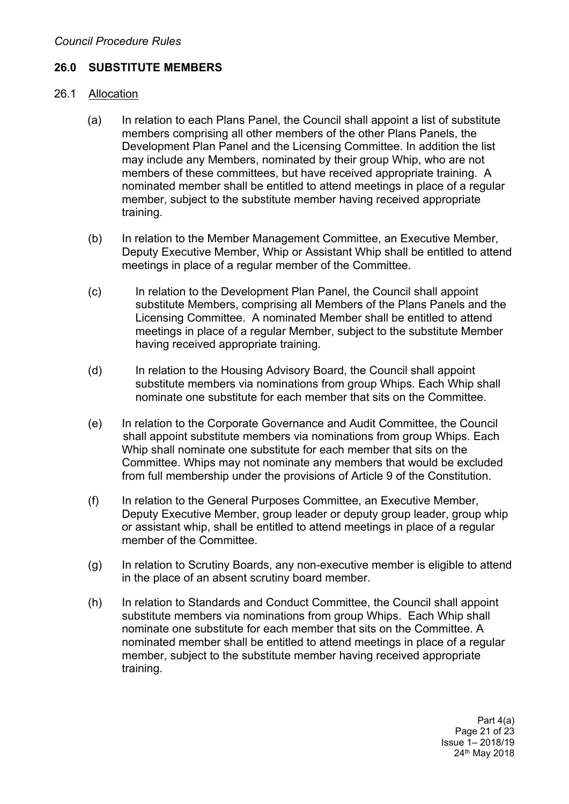# **26.0 SUBSTITUTE MEMBERS**

### 26.1 Allocation

- (a) In relation to each Plans Panel, the Council shall appoint a list of substitute members comprising all other members of the other Plans Panels, the Development Plan Panel and the Licensing Committee. In addition the list may include any Members, nominated by their group Whip, who are not members of these committees, but have received appropriate training. A nominated member shall be entitled to attend meetings in place of a regular member, subject to the substitute member having received appropriate training.
- (b) In relation to the Member Management Committee, an Executive Member, Deputy Executive Member, Whip or Assistant Whip shall be entitled to attend meetings in place of a regular member of the Committee.
- (c) In relation to the Development Plan Panel, the Council shall appoint substitute Members, comprising all Members of the Plans Panels and the Licensing Committee. A nominated Member shall be entitled to attend meetings in place of a regular Member, subject to the substitute Member having received appropriate training.
- (d) In relation to the Housing Advisory Board, the Council shall appoint substitute members via nominations from group Whips. Each Whip shall nominate one substitute for each member that sits on the Committee.
- (e) In relation to the Corporate Governance and Audit Committee, the Council shall appoint substitute members via nominations from group Whips. Each Whip shall nominate one substitute for each member that sits on the Committee. Whips may not nominate any members that would be excluded from full membership under the provisions of Article 9 of the Constitution.
- (f) In relation to the General Purposes Committee, an Executive Member, Deputy Executive Member, group leader or deputy group leader, group whip or assistant whip, shall be entitled to attend meetings in place of a regular member of the Committee.
- (g) In relation to Scrutiny Boards, any non-executive member is eligible to attend in the place of an absent scrutiny board member.
- (h) In relation to Standards and Conduct Committee, the Council shall appoint substitute members via nominations from group Whips. Each Whip shall nominate one substitute for each member that sits on the Committee. A nominated member shall be entitled to attend meetings in place of a regular member, subject to the substitute member having received appropriate training.

Part 4(a) Page 21 of 23 Issue 1– 2018/19 24th May 2018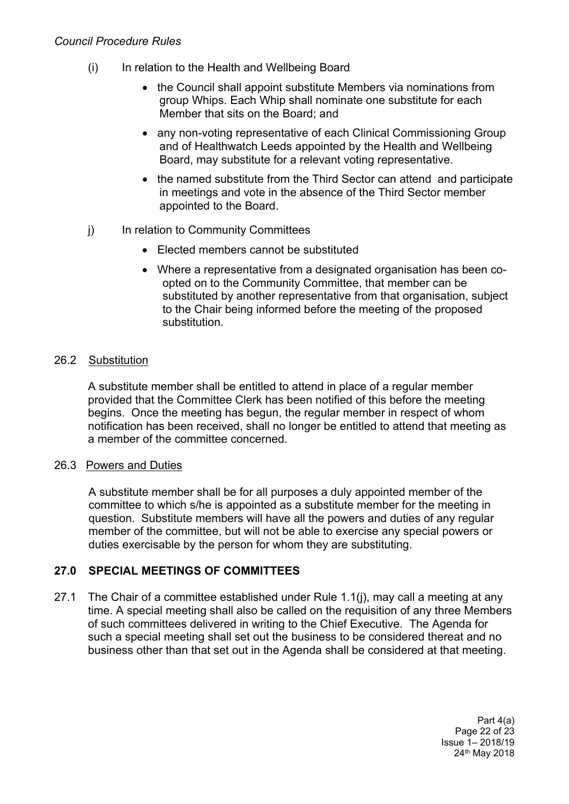### *Council Procedure Rules*

- (i) In relation to the Health and Wellbeing Board
	- the Council shall appoint substitute Members via nominations from group Whips. Each Whip shall nominate one substitute for each Member that sits on the Board; and
	- any non-voting representative of each Clinical Commissioning Group and of Healthwatch Leeds appointed by the Health and Wellbeing Board, may substitute for a relevant voting representative.
	- the named substitute from the Third Sector can attend and participate in meetings and vote in the absence of the Third Sector member appointed to the Board.
- j) In relation to Community Committees
	- Elected members cannot be substituted
	- Where a representative from a designated organisation has been coopted on to the Community Committee, that member can be substituted by another representative from that organisation, subject to the Chair being informed before the meeting of the proposed substitution.

### 26.2 Substitution

A substitute member shall be entitled to attend in place of a regular member provided that the Committee Clerk has been notified of this before the meeting begins. Once the meeting has begun, the regular member in respect of whom notification has been received, shall no longer be entitled to attend that meeting as a member of the committee concerned.

### 26.3 Powers and Duties

A substitute member shall be for all purposes a duly appointed member of the committee to which s/he is appointed as a substitute member for the meeting in question. Substitute members will have all the powers and duties of any regular member of the committee, but will not be able to exercise any special powers or duties exercisable by the person for whom they are substituting.

# **27.0 SPECIAL MEETINGS OF COMMITTEES**

27.1 The Chair of a committee established under Rule 1.1(j), may call a meeting at any time. A special meeting shall also be called on the requisition of any three Members of such committees delivered in writing to the Chief Executive. The Agenda for such a special meeting shall set out the business to be considered thereat and no business other than that set out in the Agenda shall be considered at that meeting.

> Part 4(a) Page 22 of 23 Issue 1– 2018/19 24th May 2018